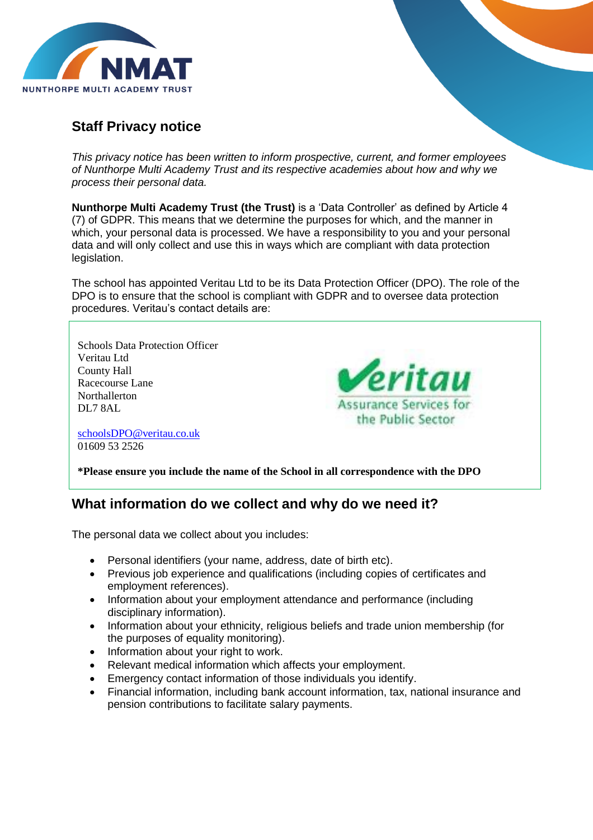

# **Staff Privacy notice**

*This privacy notice has been written to inform prospective, current, and former employees of Nunthorpe Multi Academy Trust and its respective academies about how and why we process their personal data.*

**Nunthorpe Multi Academy Trust (the Trust)** is a 'Data Controller' as defined by Article 4 (7) of GDPR. This means that we determine the purposes for which, and the manner in which, your personal data is processed. We have a responsibility to you and your personal data and will only collect and use this in ways which are compliant with data protection legislation.

The school has appointed Veritau Ltd to be its Data Protection Officer (DPO). The role of the DPO is to ensure that the school is compliant with GDPR and to oversee data protection procedures. Veritau's contact details are:

eritau

Assurance Services for the Public Sector

Schools Data Protection Officer Veritau Ltd County Hall Racecourse Lane Northallerton DL7 8AL

[schoolsDPO@veritau.co.uk](mailto:schoolsDPO@veritau.co.uk) 01609 53 2526

**\*Please ensure you include the name of the School in all correspondence with the DPO** 

#### **What information do we collect and why do we need it?**

The personal data we collect about you includes:

- Personal identifiers (your name, address, date of birth etc).
- Previous job experience and qualifications (including copies of certificates and employment references).
- Information about your employment attendance and performance (including disciplinary information).
- Information about your ethnicity, religious beliefs and trade union membership (for the purposes of equality monitoring).
- Information about your right to work.
- Relevant medical information which affects your employment.
- Emergency contact information of those individuals you identify.
- Financial information, including bank account information, tax, national insurance and pension contributions to facilitate salary payments.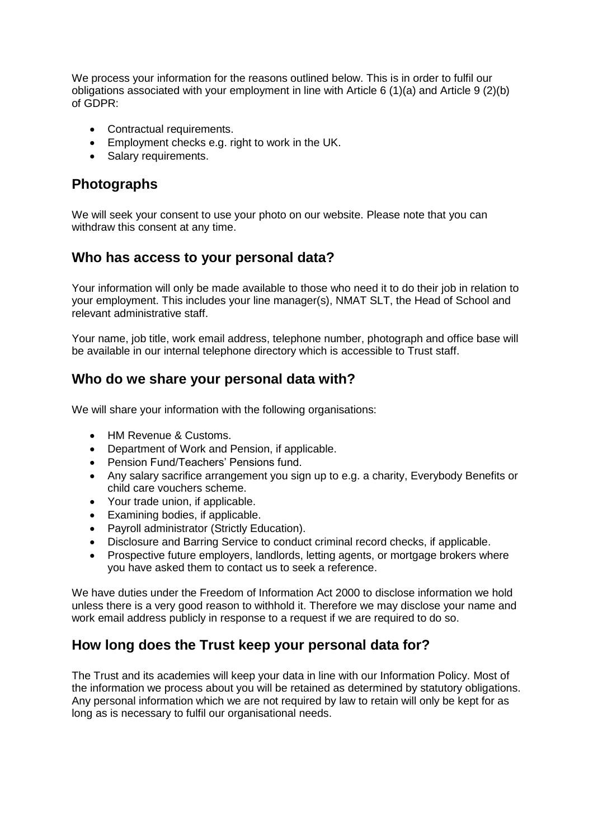We process your information for the reasons outlined below. This is in order to fulfil our obligations associated with your employment in line with Article 6 (1)(a) and Article 9 (2)(b) of GDPR:

- Contractual requirements.
- Employment checks e.g. right to work in the UK.
- Salary requirements.

## **Photographs**

We will seek your consent to use your photo on our website. Please note that you can withdraw this consent at any time.

### **Who has access to your personal data?**

Your information will only be made available to those who need it to do their job in relation to your employment. This includes your line manager(s), NMAT SLT, the Head of School and relevant administrative staff.

Your name, job title, work email address, telephone number, photograph and office base will be available in our internal telephone directory which is accessible to Trust staff.

#### **Who do we share your personal data with?**

We will share your information with the following organisations:

- HM Revenue & Customs.
- Department of Work and Pension, if applicable.
- Pension Fund/Teachers' Pensions fund.
- Any salary sacrifice arrangement you sign up to e.g. a charity, Everybody Benefits or child care vouchers scheme.
- Your trade union, if applicable.
- Examining bodies, if applicable.
- Payroll administrator (Strictly Education).
- Disclosure and Barring Service to conduct criminal record checks, if applicable.
- Prospective future employers, landlords, letting agents, or mortgage brokers where you have asked them to contact us to seek a reference.

We have duties under the Freedom of Information Act 2000 to disclose information we hold unless there is a very good reason to withhold it. Therefore we may disclose your name and work email address publicly in response to a request if we are required to do so.

#### **How long does the Trust keep your personal data for?**

The Trust and its academies will keep your data in line with our Information Policy. Most of the information we process about you will be retained as determined by statutory obligations. Any personal information which we are not required by law to retain will only be kept for as long as is necessary to fulfil our organisational needs.